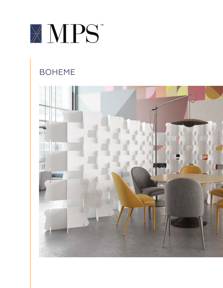

## BOHEME

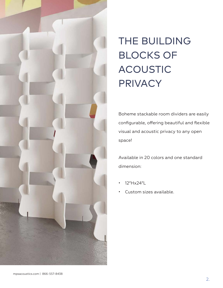

# THE BUILDING BLOCKS OF ACOUSTIC **PRIVACY**

Boheme stackable room dividers are easily configurable, offering beautiful and flexible visual and acoustic privacy to any open space!

Available in 20 colors and one standard dimension:

- 12"Hx24"L
- Custom sizes available.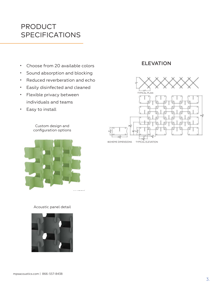### PRODUCT SPECIFICATIONS

- Choose from 20 available colors
- Sound absorption and blocking
- Reduced reverberation and echo
- Easily disinfected and cleaned
- Flexible privacy between individuals and teams
- Easy to install

Custom design and configuration options



Acoustic panel detail



### ELEVATION

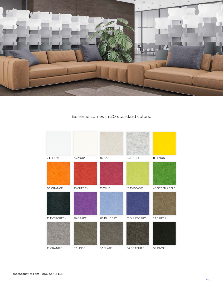

### Boheme comes in 20 standard colors.